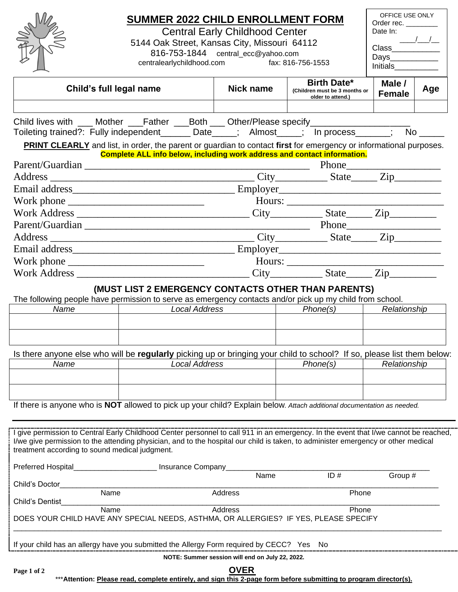|                                                                                                                                                                                                                                                                           | <b>SUMMER 2022 CHILD ENROLLMENT FORM</b>                                                                                                       | OFFICE USE ONLY<br>Order rec. ______                    |  |                                                    |                               |     |  |  |  |  |
|---------------------------------------------------------------------------------------------------------------------------------------------------------------------------------------------------------------------------------------------------------------------------|------------------------------------------------------------------------------------------------------------------------------------------------|---------------------------------------------------------|--|----------------------------------------------------|-------------------------------|-----|--|--|--|--|
|                                                                                                                                                                                                                                                                           | <b>Central Early Childhood Center</b>                                                                                                          | Date In:                                                |  |                                                    |                               |     |  |  |  |  |
|                                                                                                                                                                                                                                                                           | 5144 Oak Street, Kansas City, Missouri 64112                                                                                                   |                                                         |  |                                                    |                               |     |  |  |  |  |
|                                                                                                                                                                                                                                                                           | centralearlychildhood.com                                                                                                                      | 816-753-1844 central_ecc@yahoo.com<br>fax: 816-756-1553 |  |                                                    | Days_____________<br>Initials |     |  |  |  |  |
| <b>Birth Date*</b><br>Male /                                                                                                                                                                                                                                              |                                                                                                                                                |                                                         |  |                                                    |                               |     |  |  |  |  |
| Child's full legal name                                                                                                                                                                                                                                                   |                                                                                                                                                | Nick name                                               |  | (Children must be 3 months or<br>older to attend.) | <b>Female</b>                 | Age |  |  |  |  |
|                                                                                                                                                                                                                                                                           |                                                                                                                                                |                                                         |  |                                                    |                               |     |  |  |  |  |
| Child lives with ___ Mother ___Father ___Both ___ Other/Please specify___________                                                                                                                                                                                         |                                                                                                                                                |                                                         |  |                                                    |                               |     |  |  |  |  |
| Toileting trained?: Fully independent_______ Date_____; Almost_____; In process______; No _____                                                                                                                                                                           |                                                                                                                                                |                                                         |  |                                                    |                               |     |  |  |  |  |
| <b>PRINT CLEARLY</b> and list, in order, the parent or guardian to contact first for emergency or informational purposes.<br><b>Complete ALL info below, including work address and contact information.</b>                                                              |                                                                                                                                                |                                                         |  |                                                    |                               |     |  |  |  |  |
|                                                                                                                                                                                                                                                                           |                                                                                                                                                |                                                         |  |                                                    |                               |     |  |  |  |  |
|                                                                                                                                                                                                                                                                           |                                                                                                                                                |                                                         |  |                                                    |                               |     |  |  |  |  |
|                                                                                                                                                                                                                                                                           |                                                                                                                                                |                                                         |  |                                                    |                               |     |  |  |  |  |
|                                                                                                                                                                                                                                                                           |                                                                                                                                                |                                                         |  |                                                    |                               |     |  |  |  |  |
|                                                                                                                                                                                                                                                                           |                                                                                                                                                |                                                         |  |                                                    |                               |     |  |  |  |  |
|                                                                                                                                                                                                                                                                           |                                                                                                                                                |                                                         |  |                                                    |                               |     |  |  |  |  |
|                                                                                                                                                                                                                                                                           |                                                                                                                                                |                                                         |  |                                                    |                               |     |  |  |  |  |
|                                                                                                                                                                                                                                                                           |                                                                                                                                                |                                                         |  |                                                    |                               |     |  |  |  |  |
|                                                                                                                                                                                                                                                                           |                                                                                                                                                |                                                         |  |                                                    |                               |     |  |  |  |  |
|                                                                                                                                                                                                                                                                           |                                                                                                                                                |                                                         |  |                                                    |                               |     |  |  |  |  |
|                                                                                                                                                                                                                                                                           | (MUST LIST 2 EMERGENCY CONTACTS OTHER THAN PARENTS)                                                                                            |                                                         |  |                                                    |                               |     |  |  |  |  |
| The following people have permission to serve as emergency contacts and/or pick up my child from school.<br>Name                                                                                                                                                          | <b>Local Address</b>                                                                                                                           |                                                         |  | Phone(s)                                           | Relationship                  |     |  |  |  |  |
|                                                                                                                                                                                                                                                                           |                                                                                                                                                |                                                         |  |                                                    |                               |     |  |  |  |  |
|                                                                                                                                                                                                                                                                           |                                                                                                                                                |                                                         |  |                                                    |                               |     |  |  |  |  |
|                                                                                                                                                                                                                                                                           |                                                                                                                                                |                                                         |  |                                                    |                               |     |  |  |  |  |
| Name                                                                                                                                                                                                                                                                      | Is there anyone else who will be regularly picking up or bringing your child to school? If so, please list them below:<br><b>Local Address</b> |                                                         |  | Phone(s)<br>Relationship                           |                               |     |  |  |  |  |
|                                                                                                                                                                                                                                                                           |                                                                                                                                                |                                                         |  |                                                    |                               |     |  |  |  |  |
|                                                                                                                                                                                                                                                                           |                                                                                                                                                |                                                         |  |                                                    |                               |     |  |  |  |  |
|                                                                                                                                                                                                                                                                           |                                                                                                                                                |                                                         |  |                                                    |                               |     |  |  |  |  |
| If there is anyone who is NOT allowed to pick up your child? Explain below. Attach additional documentation as needed.                                                                                                                                                    |                                                                                                                                                |                                                         |  |                                                    |                               |     |  |  |  |  |
|                                                                                                                                                                                                                                                                           |                                                                                                                                                |                                                         |  |                                                    |                               |     |  |  |  |  |
| I give permission to Central Early Childhood Center personnel to call 911 in an emergency. In the event that I/we cannot be reached,<br>I/we give permission to the attending physician, and to the hospital our child is taken, to administer emergency or other medical |                                                                                                                                                |                                                         |  |                                                    |                               |     |  |  |  |  |
| treatment according to sound medical judgment.                                                                                                                                                                                                                            |                                                                                                                                                |                                                         |  |                                                    |                               |     |  |  |  |  |
| Preferred Hospital_                                                                                                                                                                                                                                                       | Insurance Company                                                                                                                              |                                                         |  |                                                    |                               |     |  |  |  |  |
|                                                                                                                                                                                                                                                                           |                                                                                                                                                | Name                                                    |  | ID#                                                | Group #                       |     |  |  |  |  |
| Child's Doctor<br>Name                                                                                                                                                                                                                                                    |                                                                                                                                                | Address                                                 |  | Phone                                              |                               |     |  |  |  |  |
| Child's Dentist                                                                                                                                                                                                                                                           |                                                                                                                                                |                                                         |  |                                                    |                               |     |  |  |  |  |
| Name<br>Address<br>Phone<br>DOES YOUR CHILD HAVE ANY SPECIAL NEEDS, ASTHMA, OR ALLERGIES? IF YES, PLEASE SPECIFY                                                                                                                                                          |                                                                                                                                                |                                                         |  |                                                    |                               |     |  |  |  |  |
| If your child has an allergy have you submitted the Allergy Form required by CECC? Yes No                                                                                                                                                                                 |                                                                                                                                                |                                                         |  |                                                    |                               |     |  |  |  |  |
| NOTE: Summer session will end on July 22, 2022.                                                                                                                                                                                                                           |                                                                                                                                                |                                                         |  |                                                    |                               |     |  |  |  |  |
| <b>OVER</b><br>Page 1 of 2<br>***Attention: Please read, complete entirely, and sign this 2-page form before submitting to program director(s).                                                                                                                           |                                                                                                                                                |                                                         |  |                                                    |                               |     |  |  |  |  |